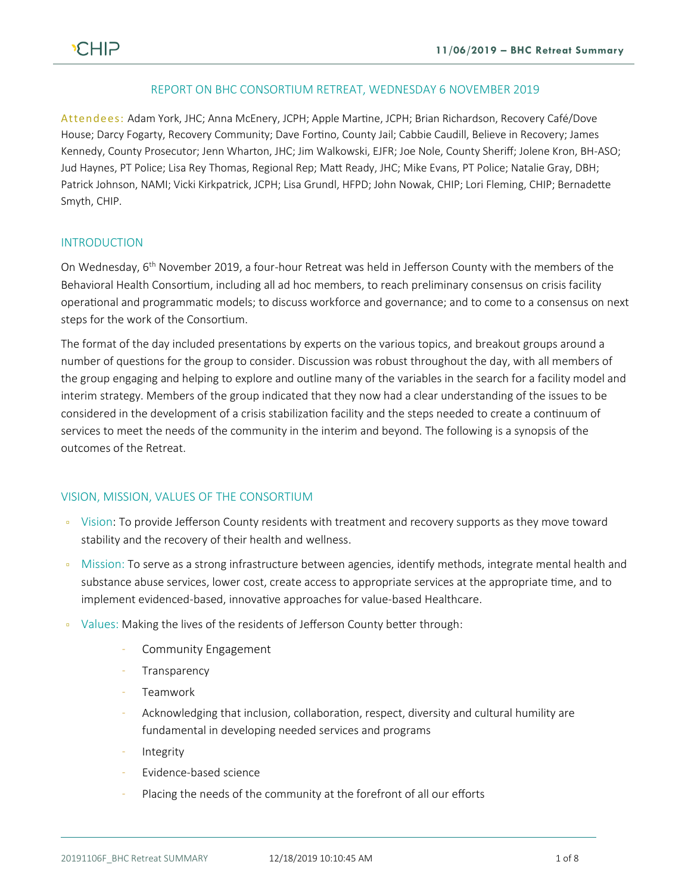#### REPORT ON BHC CONSORTIUM RETREAT, WEDNESDAY 6 NOVEMBER 2019

Attendees: Adam York, JHC; Anna McEnery, JCPH; Apple Martine, JCPH; Brian Richardson, Recovery Café/Dove House; Darcy Fogarty, Recovery Community; Dave Fortino, County Jail; Cabbie Caudill, Believe in Recovery; James Kennedy, County Prosecutor; Jenn Wharton, JHC; Jim Walkowski, EJFR; Joe Nole, County Sheriff; Jolene Kron, BH-ASO; Jud Haynes, PT Police; Lisa Rey Thomas, Regional Rep; Matt Ready, JHC; Mike Evans, PT Police; Natalie Gray, DBH; Patrick Johnson, NAMI; Vicki Kirkpatrick, JCPH; Lisa Grundl, HFPD; John Nowak, CHIP; Lori Fleming, CHIP; Bernadette Smyth, CHIP.

### INTRODUCTION

On Wednesday, 6<sup>th</sup> November 2019, a four-hour Retreat was held in Jefferson County with the members of the Behavioral Health Consortium, including all ad hoc members, to reach preliminary consensus on crisis facility operational and programmatic models; to discuss workforce and governance; and to come to a consensus on next steps for the work of the Consortium.

The format of the day included presentations by experts on the various topics, and breakout groups around a number of questions for the group to consider. Discussion was robust throughout the day, with all members of the group engaging and helping to explore and outline many of the variables in the search for a facility model and interim strategy. Members of the group indicated that they now had a clear understanding of the issues to be considered in the development of a crisis stabilization facility and the steps needed to create a continuum of services to meet the needs of the community in the interim and beyond. The following is a synopsis of the outcomes of the Retreat.

#### VISION, MISSION, VALUES OF THE CONSORTIUM

- Vision: To provide Jefferson County residents with treatment and recovery supports as they move toward stability and the recovery of their health and wellness.
- Mission: To serve as a strong infrastructure between agencies, identify methods, integrate mental health and substance abuse services, lower cost, create access to appropriate services at the appropriate time, and to implement evidenced-based, innovative approaches for value-based Healthcare.
- Values: Making the lives of the residents of Jefferson County better through:
	- Community Engagement
	- **Transparency**
	- Teamwork
	- Acknowledging that inclusion, collaboration, respect, diversity and cultural humility are fundamental in developing needed services and programs
	- Integrity
	- Evidence-based science
	- Placing the needs of the community at the forefront of all our efforts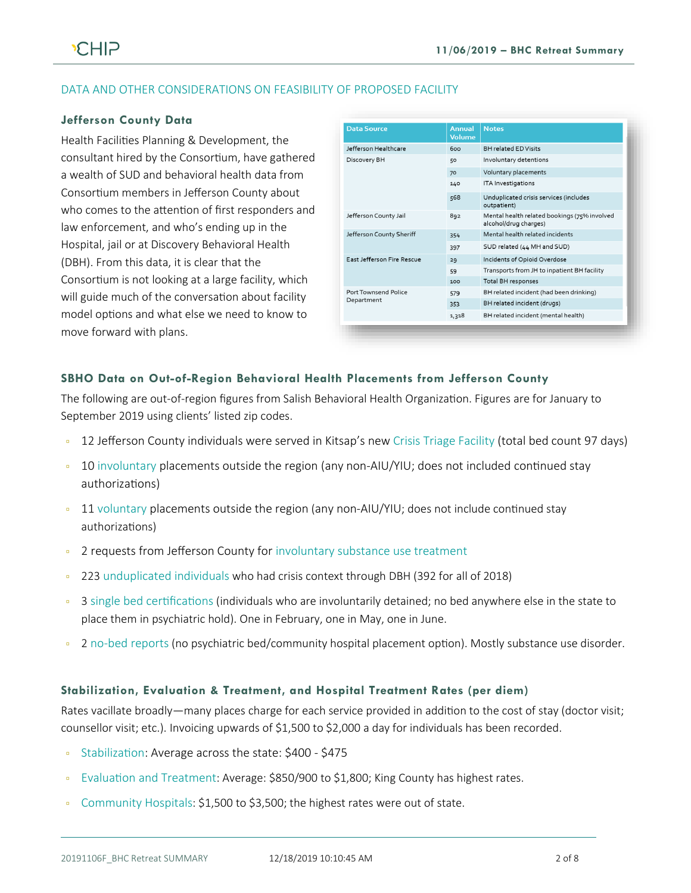# DATA AND OTHER CONSIDERATIONS ON FEASIBILITY OF PROPOSED FACILITY

#### **Jefferson County Data**

Health Facilities Planning & Development, the consultant hired by the Consortium, have gathered a wealth of SUD and behavioral health data from Consortium members in Jefferson County about who comes to the attention of first responders and law enforcement, and who's ending up in the Hospital, jail or at Discovery Behavioral Health (DBH). From this data, it is clear that the Consortium is not looking at a large facility, which will guide much of the conversation about facility model options and what else we need to know to move forward with plans.

| <b>Data Source</b>                 | Annual<br><b>Volume</b> | <b>Notes</b>                                                          |
|------------------------------------|-------------------------|-----------------------------------------------------------------------|
| Jefferson Healthcare               | 600                     | <b>BH related FD Visits</b>                                           |
| Discovery BH                       | 50                      | Involuntary detentions                                                |
|                                    | 70                      | Voluntary placements                                                  |
|                                    | 140                     | <b>ITA Investigations</b>                                             |
|                                    | 568                     | Unduplicated crisis services (includes<br>outpatient)                 |
| Jefferson County Jail              | 892                     | Mental health related bookings (75% involved<br>alcohol/drug charges) |
| Jefferson County Sheriff           | 354                     | Mental health related incidents                                       |
|                                    | 397                     | SUD related (44 MH and SUD)                                           |
| <b>East Jefferson Fire Rescue</b>  | 29                      | Incidents of Opioid Overdose                                          |
|                                    | 59                      | Transports from JH to inpatient BH facility                           |
|                                    | 100                     | Total BH responses                                                    |
| Port Townsend Police<br>Department | 579                     | BH related incident (had been drinking)                               |
|                                    | 353                     | BH related incident (drugs)                                           |
|                                    | 1,318                   | BH related incident (mental health)                                   |

### **SBHO Data on Out-of-Region Behavioral Health Placements from Jefferson County**

The following are out-of-region figures from Salish Behavioral Health Organization. Figures are for January to September 2019 using clients' listed zip codes.

- 12 Jefferson County individuals were served in Kitsap's new Crisis Triage Facility (total bed count 97 days)
- 10 involuntary placements outside the region (any non-AIU/YIU; does not included continued stay authorizations)
- <sup>11</sup> voluntary placements outside the region (any non-AIU/YIU; does not include continued stay authorizations)
- **2** requests from Jefferson County for involuntary substance use treatment
- <sup>2</sup> 223 unduplicated individuals who had crisis context through DBH (392 for all of 2018)
- <sup>9</sup> 3 single bed certifications (individuals who are involuntarily detained; no bed anywhere else in the state to place them in psychiatric hold). One in February, one in May, one in June.
- <sup>2</sup> no-bed reports (no psychiatric bed/community hospital placement option). Mostly substance use disorder.

#### **Stabilization, Evaluation & Treatment, and Hospital Treatment Rates (per diem)**

Rates vacillate broadly—many places charge for each service provided in addition to the cost of stay (doctor visit; counsellor visit; etc.). Invoicing upwards of \$1,500 to \$2,000 a day for individuals has been recorded.

- Stabilization: Average across the state: \$400 \$475
- Evaluation and Treatment: Average: \$850/900 to \$1,800; King County has highest rates.
- Community Hospitals: \$1,500 to \$3,500; the highest rates were out of state.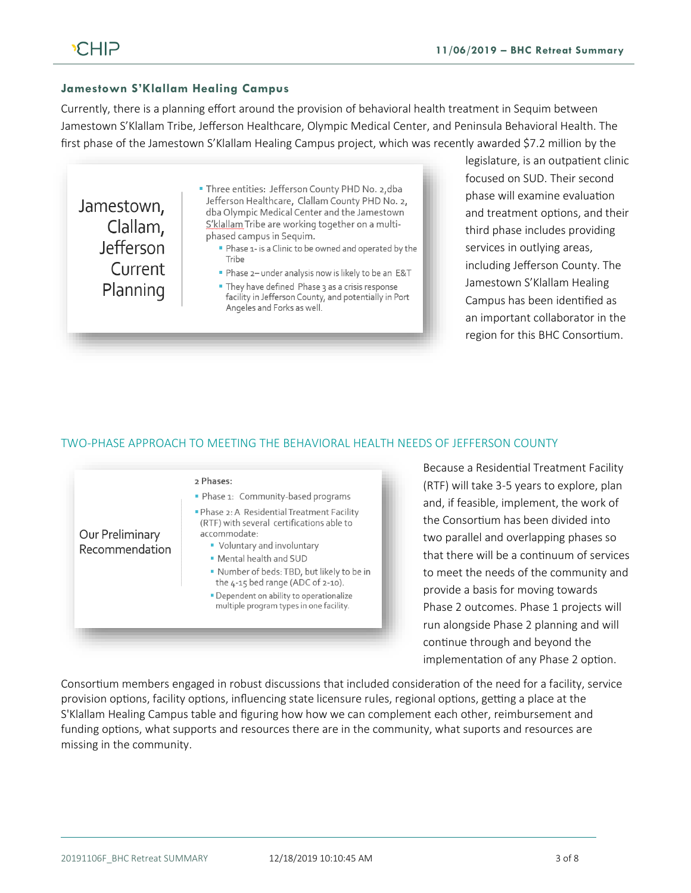### **Jamestown S'Klallam Healing Campus**

Currently, there is a planning effort around the provision of behavioral health treatment in Sequim between Jamestown S'Klallam Tribe, Jefferson Healthcare, Olympic Medical Center, and Peninsula Behavioral Health. The first phase of the Jamestown S'Klallam Healing Campus project, which was recently awarded \$7.2 million by the

Jamestown, Clallam, Jefferson Current Planning

- . Three entities: Jefferson County PHD No. 2, dba Jefferson Healthcare, Clallam County PHD No. 2, dba Olympic Medical Center and the Jamestown S'klallam Tribe are working together on a multiphased campus in Sequim.
	- Phase 1- is a Clinic to be owned and operated by the Tribe
	- Phase 2- under analysis now is likely to be an E&T
	- They have defined Phase 3 as a crisis response facility in Jefferson County, and potentially in Port Angeles and Forks as well.

legislature, is an outpatient clinic focused on SUD. Their second phase will examine evaluation and treatment options, and their third phase includes providing services in outlying areas, including Jefferson County. The Jamestown S'Klallam Healing Campus has been identified as an important collaborator in the region for this BHC Consortium.

#### TWO-PHASE APPROACH TO MEETING THE BEHAVIORAL HEALTH NEEDS OF JEFFERSON COUNTY



Because a Residential Treatment Facility (RTF) will take 3-5 years to explore, plan and, if feasible, implement, the work of the Consortium has been divided into two parallel and overlapping phases so that there will be a continuum of services to meet the needs of the community and provide a basis for moving towards Phase 2 outcomes. Phase 1 projects will run alongside Phase 2 planning and will continue through and beyond the implementation of any Phase 2 option.

Consortium members engaged in robust discussions that included consideration of the need for a facility, service provision options, facility options, influencing state licensure rules, regional options, getting a place at the S'Klallam Healing Campus table and figuring how how we can complement each other, reimbursement and funding options, what supports and resources there are in the community, what suports and resources are missing in the community.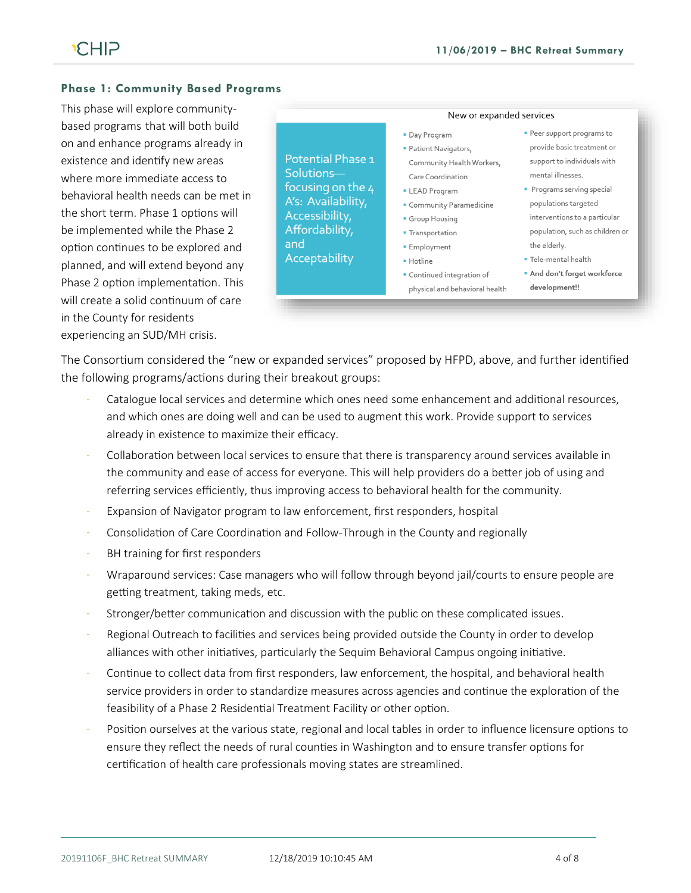#### **Phase 1: Community Based Programs**

This phase will explore communitybased programs that will both build on and enhance programs already in existence and identify new areas where more immediate access to behavioral health needs can be met in the short term. Phase 1 options will be implemented while the Phase 2 option continues to be explored and planned, and will extend beyond any Phase 2 option implementation. This will create a solid continuum of care in the County for residents experiencing an SUD/MH crisis.

Potential Phase 1 Solutionsfocusing on the 4 A's: Availability, Accessibility, Affordability, and Acceptability

New or expanded services

#### • Day Program

- · Patient Navigators, Community Health Workers, Care Coordination
- **LEAD Program**
- Community Paramedicine
- Group Housing
- **Transportation**
- **Employment**
- · Hotline
- Continued integration of physical and behavioral health
- Peer support programs to provide basic treatment or support to individuals with mental illnesses.
- Programs serving special populations targeted interventions to a particular population, such as children or the elderly.
- · Tele-mental health
- **And don't forget workforce** development!!

The Consortium considered the "new or expanded services" proposed by HFPD, above, and further identified the following programs/actions during their breakout groups:

- Catalogue local services and determine which ones need some enhancement and additional resources, and which ones are doing well and can be used to augment this work. Provide support to services already in existence to maximize their efficacy.
- Collaboration between local services to ensure that there is transparency around services available in the community and ease of access for everyone. This will help providers do a better job of using and referring services efficiently, thus improving access to behavioral health for the community.
- Expansion of Navigator program to law enforcement, first responders, hospital
- Consolidation of Care Coordination and Follow-Through in the County and regionally
- BH training for first responders
- Wraparound services: Case managers who will follow through beyond jail/courts to ensure people are getting treatment, taking meds, etc.
- Stronger/better communication and discussion with the public on these complicated issues.
- Regional Outreach to facilities and services being provided outside the County in order to develop alliances with other initiatives, particularly the Sequim Behavioral Campus ongoing initiative.
- Continue to collect data from first responders, law enforcement, the hospital, and behavioral health service providers in order to standardize measures across agencies and continue the exploration of the feasibility of a Phase 2 Residential Treatment Facility or other option.
- Position ourselves at the various state, regional and local tables in order to influence licensure options to ensure they reflect the needs of rural counties in Washington and to ensure transfer options for certification of health care professionals moving states are streamlined.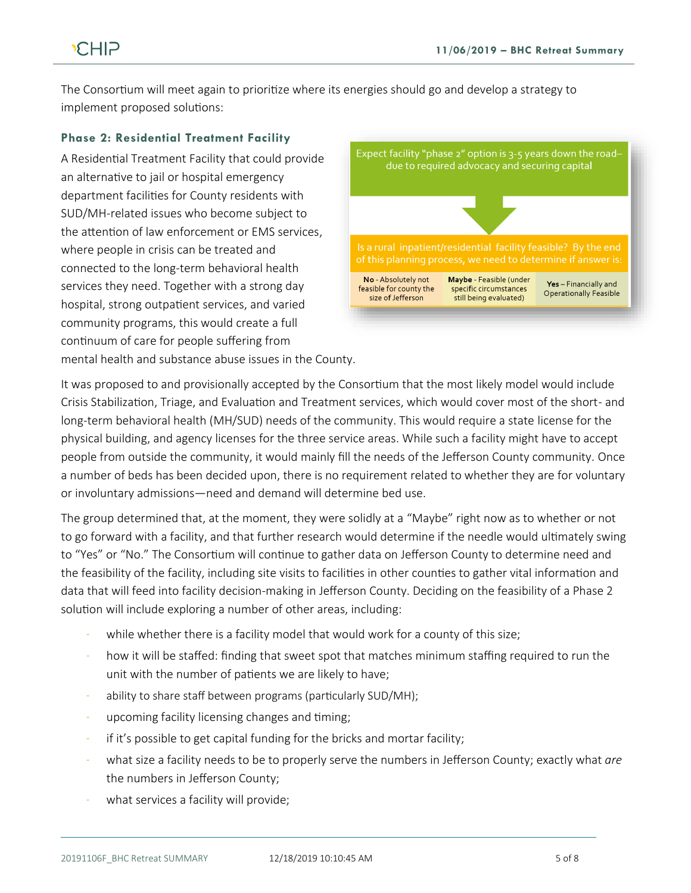# **CHIP**

The Consortium will meet again to prioritize where its energies should go and develop a strategy to implement proposed solutions:

# **Phase 2: Residential Treatment Facility**

A Residential Treatment Facility that could provide an alternative to jail or hospital emergency department facilities for County residents with SUD/MH-related issues who become subject to the attention of law enforcement or EMS services, where people in crisis can be treated and connected to the long-term behavioral health services they need. Together with a strong day hospital, strong outpatient services, and varied community programs, this would create a full continuum of care for people suffering from mental health and substance abuse issues in the County.



It was proposed to and provisionally accepted by the Consortium that the most likely model would include Crisis Stabilization, Triage, and Evaluation and Treatment services, which would cover most of the short- and long-term behavioral health (MH/SUD) needs of the community. This would require a state license for the physical building, and agency licenses for the three service areas. While such a facility might have to accept people from outside the community, it would mainly fill the needs of the Jefferson County community. Once a number of beds has been decided upon, there is no requirement related to whether they are for voluntary or involuntary admissions—need and demand will determine bed use.

The group determined that, at the moment, they were solidly at a "Maybe" right now as to whether or not to go forward with a facility, and that further research would determine if the needle would ultimately swing to "Yes" or "No." The Consortium will continue to gather data on Jefferson County to determine need and the feasibility of the facility, including site visits to facilities in other counties to gather vital information and data that will feed into facility decision-making in Jefferson County. Deciding on the feasibility of a Phase 2 solution will include exploring a number of other areas, including:

- while whether there is a facility model that would work for a county of this size;
- how it will be staffed: finding that sweet spot that matches minimum staffing required to run the unit with the number of patients we are likely to have;
- ability to share staff between programs (particularly SUD/MH);
- upcoming facility licensing changes and timing;
- if it's possible to get capital funding for the bricks and mortar facility;
- what size a facility needs to be to properly serve the numbers in Jefferson County; exactly what *are* the numbers in Jefferson County;
- what services a facility will provide;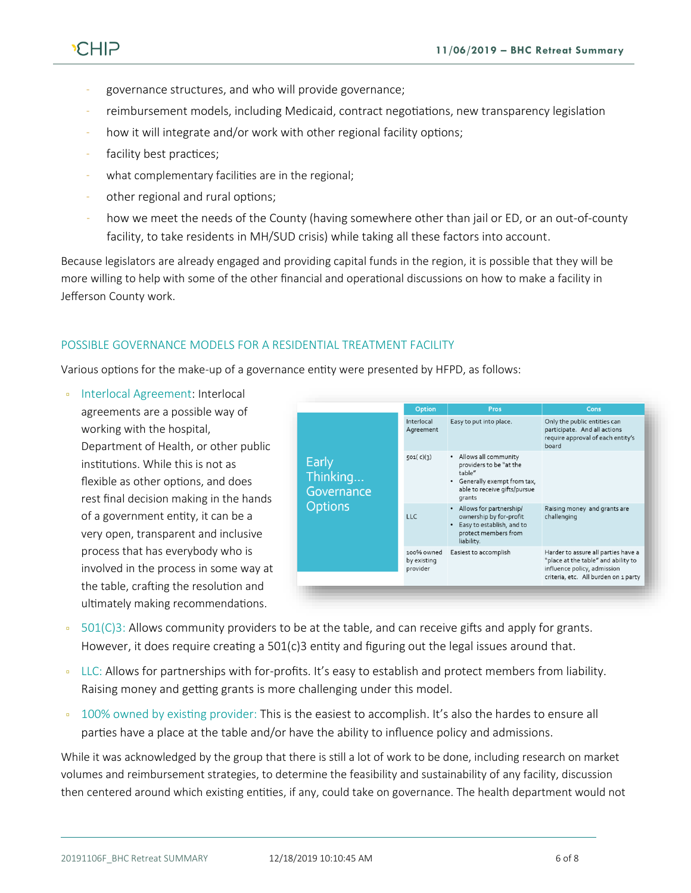

- governance structures, and who will provide governance;
- reimbursement models, including Medicaid, contract negotiations, new transparency legislation
- how it will integrate and/or work with other regional facility options;
- facility best practices;
- what complementary facilities are in the regional;
- other regional and rural options;
- how we meet the needs of the County (having somewhere other than jail or ED, or an out-of-county facility, to take residents in MH/SUD crisis) while taking all these factors into account.

Because legislators are already engaged and providing capital funds in the region, it is possible that they will be more willing to help with some of the other financial and operational discussions on how to make a facility in Jefferson County work.

# POSSIBLE GOVERNANCE MODELS FOR A RESIDENTIAL TREATMENT FACILITY

Various options for the make-up of a governance entity were presented by HFPD, as follows:

 Interlocal Agreement: Interlocal agreements are a possible way of working with the hospital, Department of Health, or other public institutions. While this is not as flexible as other options, and does rest final decision making in the hands of a government entity, it can be a very open, transparent and inclusive process that has everybody who is involved in the process in some way at the table, crafting the resolution and ultimately making recommendations.

|                                                   | <b>Option</b>                         | Pros                                                                                                                                  | Cons                                                                                                                                              |
|---------------------------------------------------|---------------------------------------|---------------------------------------------------------------------------------------------------------------------------------------|---------------------------------------------------------------------------------------------------------------------------------------------------|
| Early<br>Thinking<br>Governance<br><b>Options</b> | Interlocal<br>Agreement               | Easy to put into place.                                                                                                               | Only the public entities can<br>participate. And all actions<br>require approval of each entity's<br>board                                        |
|                                                   | 501(c)(3)                             | • Allows all community<br>providers to be "at the<br>table"<br>• Generally exempt from tax,<br>able to receive gifts/pursue<br>grants |                                                                                                                                                   |
|                                                   | <b>LLC</b>                            | • Allows for partnership/<br>ownership by for-profit<br>Easy to establish, and to<br>protect members from<br>liability.               | Raising money and grants are<br>challenging                                                                                                       |
|                                                   | 100% owned<br>by existing<br>provider | Easiest to accomplish                                                                                                                 | Harder to assure all parties have a<br>"place at the table" and ability to<br>influence policy, admission<br>criteria, etc. All burden on 1 party |

- 501(C)3: Allows community providers to be at the table, and can receive gifts and apply for grants. However, it does require creating a 501(c)3 entity and figuring out the legal issues around that.
- LLC: Allows for partnerships with for-profits. It's easy to establish and protect members from liability. Raising money and getting grants is more challenging under this model.
- 100% owned by existing provider: This is the easiest to accomplish. It's also the hardes to ensure all parties have a place at the table and/or have the ability to influence policy and admissions.

While it was acknowledged by the group that there is still a lot of work to be done, including research on market volumes and reimbursement strategies, to determine the feasibility and sustainability of any facility, discussion then centered around which existing entities, if any, could take on governance. The health department would not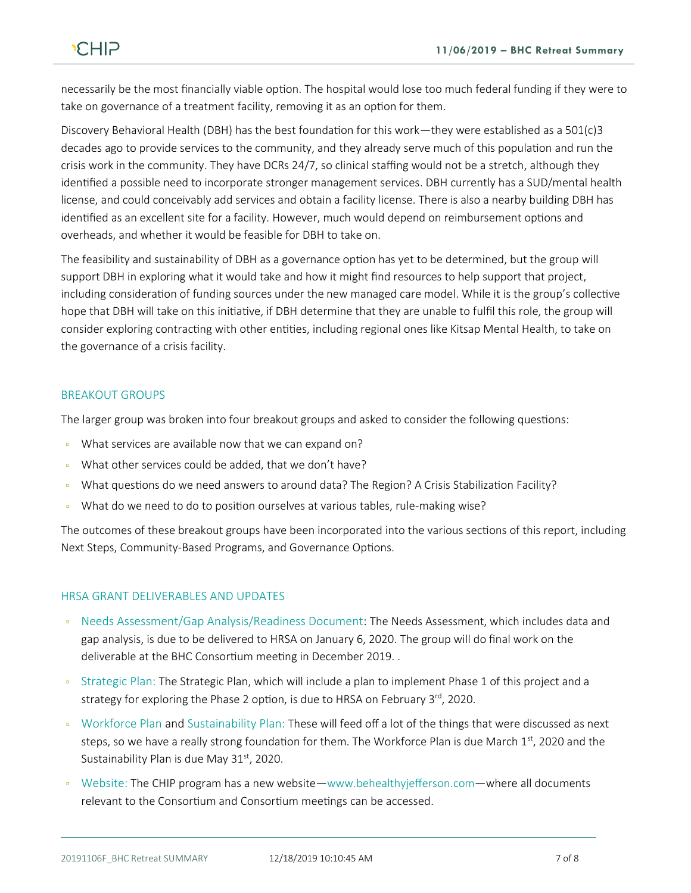necessarily be the most financially viable option. The hospital would lose too much federal funding if they were to take on governance of a treatment facility, removing it as an option for them.

Discovery Behavioral Health (DBH) has the best foundation for this work—they were established as a 501(c)3 decades ago to provide services to the community, and they already serve much of this population and run the crisis work in the community. They have DCRs 24/7, so clinical staffing would not be a stretch, although they identified a possible need to incorporate stronger management services. DBH currently has a SUD/mental health license, and could conceivably add services and obtain a facility license. There is also a nearby building DBH has identified as an excellent site for a facility. However, much would depend on reimbursement options and overheads, and whether it would be feasible for DBH to take on.

The feasibility and sustainability of DBH as a governance option has yet to be determined, but the group will support DBH in exploring what it would take and how it might find resources to help support that project, including consideration of funding sources under the new managed care model. While it is the group's collective hope that DBH will take on this initiative, if DBH determine that they are unable to fulfil this role, the group will consider exploring contracting with other entities, including regional ones like Kitsap Mental Health, to take on the governance of a crisis facility.

#### BREAKOUT GROUPS

The larger group was broken into four breakout groups and asked to consider the following questions:

- What services are available now that we can expand on?
- If What other services could be added, that we don't have?
- What questions do we need answers to around data? The Region? A Crisis Stabilization Facility?
- What do we need to do to position ourselves at various tables, rule-making wise?

The outcomes of these breakout groups have been incorporated into the various sections of this report, including Next Steps, Community-Based Programs, and Governance Options.

#### HRSA GRANT DELIVERABLES AND UPDATES

- Needs Assessment/Gap Analysis/Readiness Document: The Needs Assessment, which includes data and gap analysis, is due to be delivered to HRSA on January 6, 2020. The group will do final work on the deliverable at the BHC Consortium meeting in December 2019. .
- Strategic Plan: The Strategic Plan, which will include a plan to implement Phase 1 of this project and a strategy for exploring the Phase 2 option, is due to HRSA on February 3rd, 2020.
- Workforce Plan and Sustainability Plan: These will feed off a lot of the things that were discussed as next steps, so we have a really strong foundation for them. The Workforce Plan is due March 1st, 2020 and the Sustainability Plan is due May 31<sup>st</sup>, 2020.
- Website: The CHIP program has a new website—www.behealthyjefferson.com—where all documents relevant to the Consortium and Consortium meetings can be accessed.